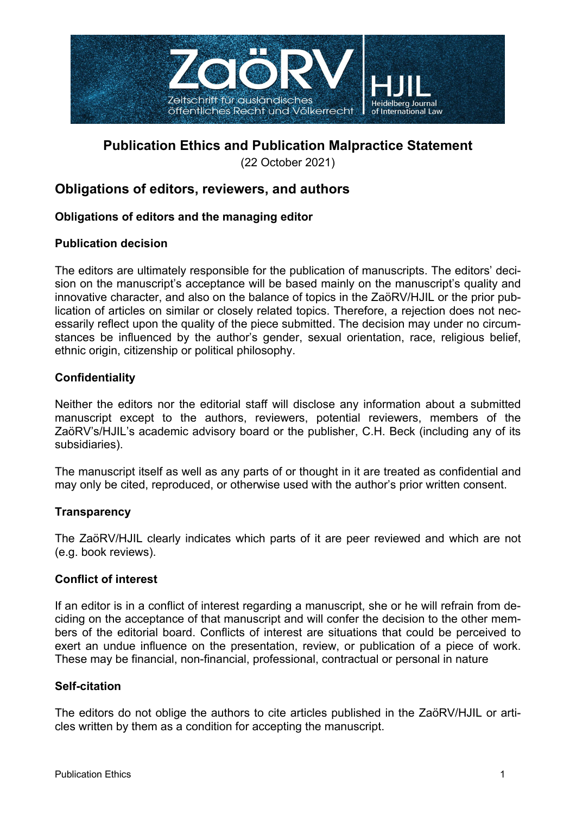

# **Publication Ethics and Publication Malpractice Statement**

(22 October 2021)

# **Obligations of editors, reviewers, and authors**

# **Obligations of editors and the managing editor**

# **Publication decision**

The editors are ultimately responsible for the publication of manuscripts. The editors' decision on the manuscript's acceptance will be based mainly on the manuscript's quality and innovative character, and also on the balance of topics in the ZaöRV/HJIL or the prior publication of articles on similar or closely related topics. Therefore, a rejection does not necessarily reflect upon the quality of the piece submitted. The decision may under no circumstances be influenced by the author's gender, sexual orientation, race, religious belief, ethnic origin, citizenship or political philosophy.

# **Confidentiality**

Neither the editors nor the editorial staff will disclose any information about a submitted manuscript except to the authors, reviewers, potential reviewers, members of the ZaöRV's/HJIL's academic advisory board or the publisher, C.H. Beck (including any of its subsidiaries).

The manuscript itself as well as any parts of or thought in it are treated as confidential and may only be cited, reproduced, or otherwise used with the author's prior written consent.

# **Transparency**

The ZaöRV/HJIL clearly indicates which parts of it are peer reviewed and which are not (e.g. book reviews).

# **Conflict of interest**

If an editor is in a conflict of interest regarding a manuscript, she or he will refrain from deciding on the acceptance of that manuscript and will confer the decision to the other members of the editorial board. Conflicts of interest are situations that could be perceived to exert an undue influence on the presentation, review, or publication of a piece of work. These may be financial, non-financial, professional, contractual or personal in nature

# **Self-citation**

The editors do not oblige the authors to cite articles published in the ZaöRV/HJIL or articles written by them as a condition for accepting the manuscript.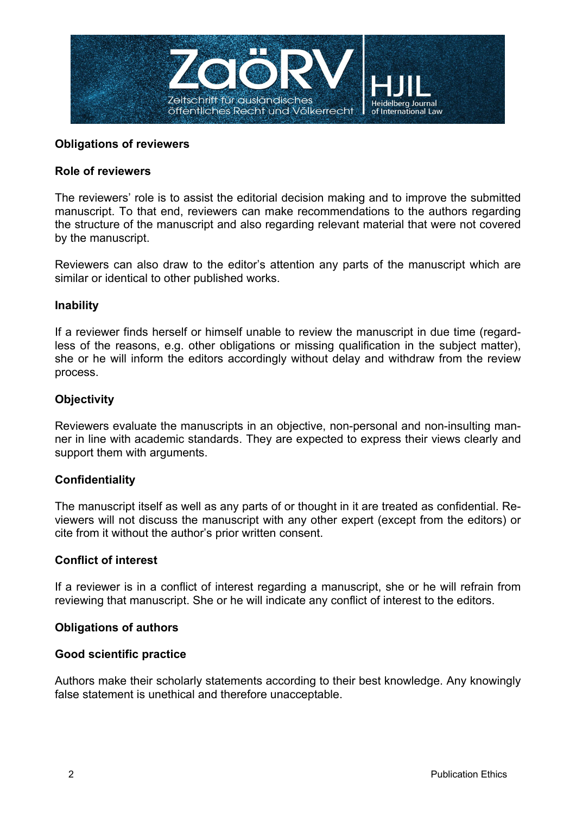

## **Obligations of reviewers**

#### **Role of reviewers**

The reviewers' role is to assist the editorial decision making and to improve the submitted manuscript. To that end, reviewers can make recommendations to the authors regarding the structure of the manuscript and also regarding relevant material that were not covered by the manuscript.

Reviewers can also draw to the editor's attention any parts of the manuscript which are similar or identical to other published works.

#### **Inability**

If a reviewer finds herself or himself unable to review the manuscript in due time (regardless of the reasons, e.g. other obligations or missing qualification in the subject matter), she or he will inform the editors accordingly without delay and withdraw from the review process.

#### **Objectivity**

Reviewers evaluate the manuscripts in an objective, non-personal and non-insulting manner in line with academic standards. They are expected to express their views clearly and support them with arguments.

#### **Confidentiality**

The manuscript itself as well as any parts of or thought in it are treated as confidential. Reviewers will not discuss the manuscript with any other expert (except from the editors) or cite from it without the author's prior written consent.

#### **Conflict of interest**

If a reviewer is in a conflict of interest regarding a manuscript, she or he will refrain from reviewing that manuscript. She or he will indicate any conflict of interest to the editors.

#### **Obligations of authors**

#### **Good scientific practice**

Authors make their scholarly statements according to their best knowledge. Any knowingly false statement is unethical and therefore unacceptable.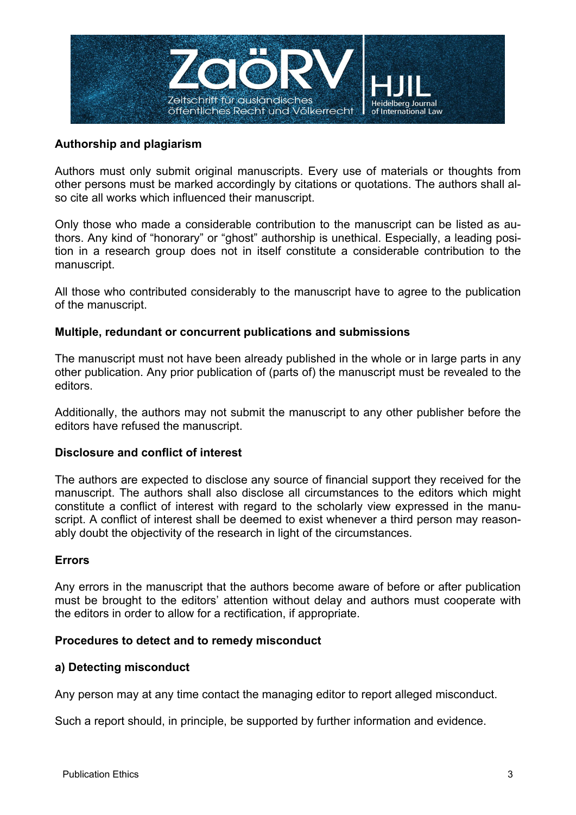

## **Authorship and plagiarism**

Authors must only submit original manuscripts. Every use of materials or thoughts from other persons must be marked accordingly by citations or quotations. The authors shall also cite all works which influenced their manuscript.

Only those who made a considerable contribution to the manuscript can be listed as authors. Any kind of "honorary" or "ghost" authorship is unethical. Especially, a leading position in a research group does not in itself constitute a considerable contribution to the manuscript.

All those who contributed considerably to the manuscript have to agree to the publication of the manuscript.

#### **Multiple, redundant or concurrent publications and submissions**

The manuscript must not have been already published in the whole or in large parts in any other publication. Any prior publication of (parts of) the manuscript must be revealed to the editors.

Additionally, the authors may not submit the manuscript to any other publisher before the editors have refused the manuscript.

#### **Disclosure and conflict of interest**

The authors are expected to disclose any source of financial support they received for the manuscript. The authors shall also disclose all circumstances to the editors which might constitute a conflict of interest with regard to the scholarly view expressed in the manuscript. A conflict of interest shall be deemed to exist whenever a third person may reasonably doubt the objectivity of the research in light of the circumstances.

# **Errors**

Any errors in the manuscript that the authors become aware of before or after publication must be brought to the editors' attention without delay and authors must cooperate with the editors in order to allow for a rectification, if appropriate.

#### **Procedures to detect and to remedy misconduct**

#### **a) Detecting misconduct**

Any person may at any time contact the managing editor to report alleged misconduct.

Such a report should, in principle, be supported by further information and evidence.